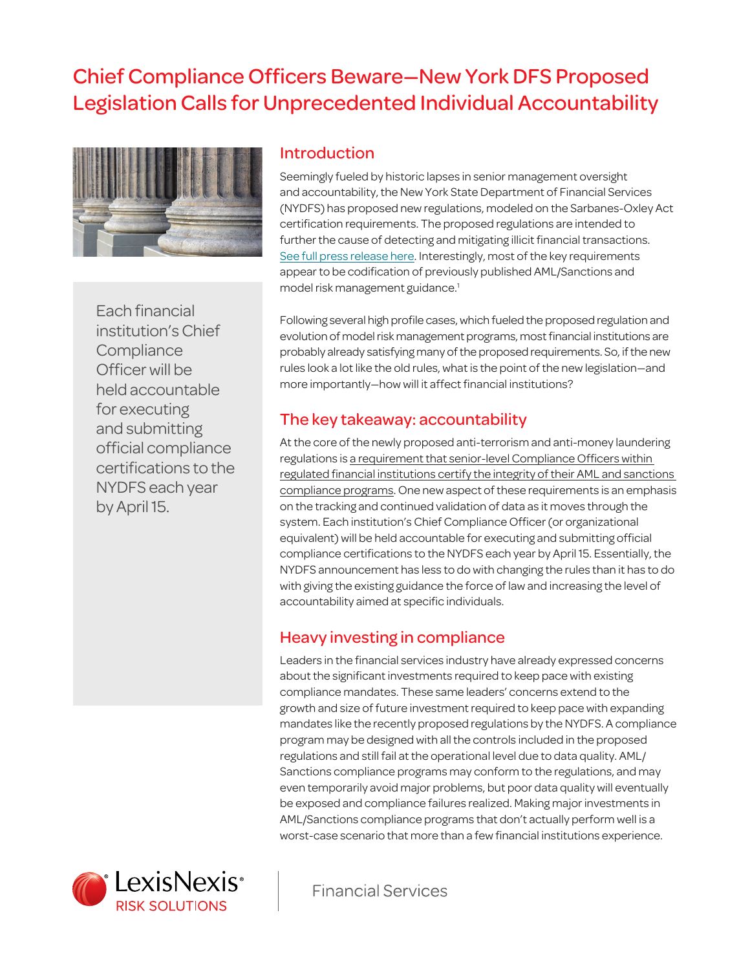# Chief Compliance Officers Beware—New York DFS Proposed Legislation Calls for Unprecedented Individual Accountability



Each financial institution's Chief **Compliance** Officer will be held accountable for executing and submitting official compliance certifications to the NYDFS each year by April 15.

#### Introduction

Seemingly fueled by historic lapses in senior management oversight and accountability, the New York State Department of Financial Services (NYDFS) has proposed new regulations, modeled on the Sarbanes-Oxley Act certification requirements. The proposed regulations are intended to further the cause of detecting and mitigating illicit financial transactions. [See full press release here](http://www.dfs.ny.gov/about/press/pr1512011.htm). Interestingly, most of the key requirements appear to be codification of previously published AML/Sanctions and model risk management guidance.<sup>1</sup>

Following several high profile cases, which fueled the proposed regulation and evolution of model risk management programs, most financial institutions are probably already satisfying many of the proposed requirements. So, if the new rules look a lot like the old rules, what is the point of the new legislation—and more importantly—how will it affect financial institutions?

#### The key takeaway: accountability

At the core of the newly proposed anti-terrorism and anti-money laundering regulations is a requirement that senior-level Compliance Officers within regulated financial institutions certify the integrity of their AML and sanctions compliance programs. One new aspect of these requirements is an emphasis on the tracking and continued validation of data as it moves through the system. Each institution's Chief Compliance Officer (or organizational equivalent) will be held accountable for executing and submitting official compliance certifications to the NYDFS each year by April 15. Essentially, the NYDFS announcement has less to do with changing the rules than it has to do with giving the existing guidance the force of law and increasing the level of accountability aimed at specific individuals.

# Heavy investing in compliance

Leaders in the financial services industry have already expressed concerns about the significant investments required to keep pace with existing compliance mandates. These same leaders' concerns extend to the growth and size of future investment required to keep pace with expanding mandates like the recently proposed regulations by the NYDFS. A compliance program may be designed with all the controls included in the proposed regulations and still fail at the operational level due to data quality. AML/ Sanctions compliance programs may conform to the regulations, and may even temporarily avoid major problems, but poor data quality will eventually be exposed and compliance failures realized. Making major investments in AML/Sanctions compliance programs that don't actually perform well is a worst-case scenario that more than a few financial institutions experience.



**Financial Services**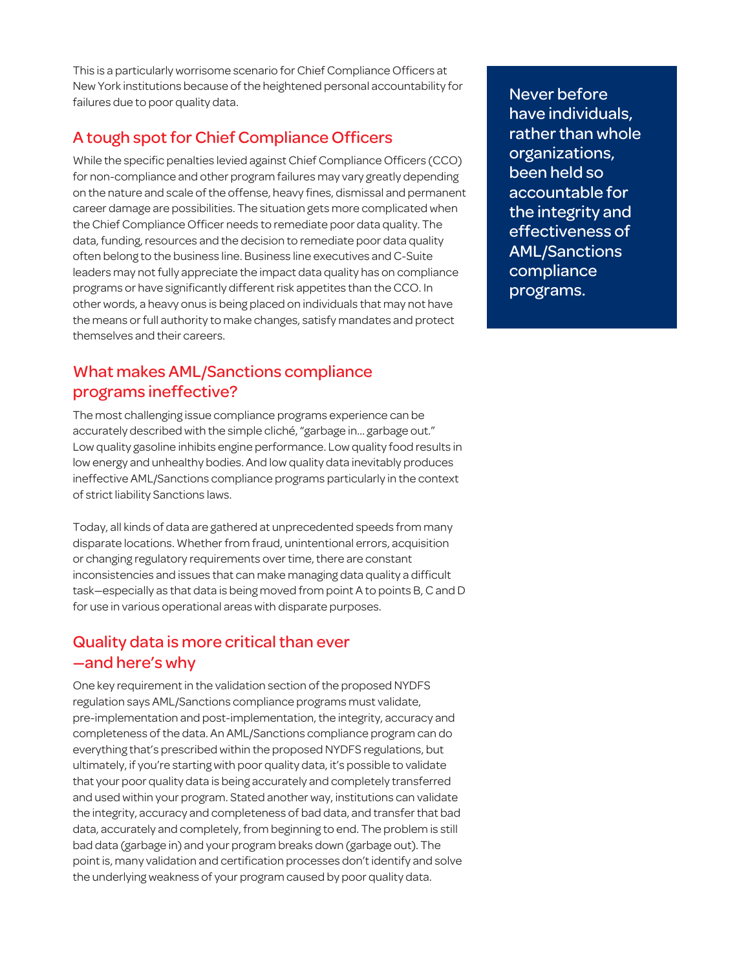This is a particularly worrisome scenario for Chief Compliance Officers at New York institutions because of the heightened personal accountability for failures due to poor quality data.

# A tough spot for Chief Compliance Officers

While the specific penalties levied against Chief Compliance Officers (CCO) for non-compliance and other program failures may vary greatly depending on the nature and scale of the offense, heavy fines, dismissal and permanent career damage are possibilities. The situation gets more complicated when the Chief Compliance Officer needs to remediate poor data quality. The data, funding, resources and the decision to remediate poor data quality often belong to the business line. Business line executives and C-Suite leaders may not fully appreciate the impact data quality has on compliance programs or have significantly different risk appetites than the CCO. In other words, a heavy onus is being placed on individuals that may not have the means or full authority to make changes, satisfy mandates and protect themselves and their careers.

#### What makes AML/Sanctions compliance programs ineffective?

The most challenging issue compliance programs experience can be accurately described with the simple cliché, "garbage in… garbage out." Low quality gasoline inhibits engine performance. Low quality food results in low energy and unhealthy bodies. And low quality data inevitably produces ineffective AML/Sanctions compliance programs particularly in the context of strict liability Sanctions laws.

Today, all kinds of data are gathered at unprecedented speeds from many disparate locations. Whether from fraud, unintentional errors, acquisition or changing regulatory requirements over time, there are constant inconsistencies and issues that can make managing data quality a difficult task—especially as that data is being moved from point A to points B, C and D for use in various operational areas with disparate purposes.

# Quality data is more critical than ever —and here's why

One key requirement in the validation section of the proposed NYDFS regulation says AML/Sanctions compliance programs must validate, pre-implementation and post-implementation, the integrity, accuracy and completeness of the data. An AML/Sanctions compliance program can do everything that's prescribed within the proposed NYDFS regulations, but ultimately, if you're starting with poor quality data, it's possible to validate that your poor quality data is being accurately and completely transferred and used within your program. Stated another way, institutions can validate the integrity, accuracy and completeness of bad data, and transfer that bad data, accurately and completely, from beginning to end. The problem is still bad data (garbage in) and your program breaks down (garbage out). The point is, many validation and certification processes don't identify and solve the underlying weakness of your program caused by poor quality data.

Never before have individuals, rather than whole organizations, been held so accountable for the integrity and effectiveness of AML/Sanctions compliance programs.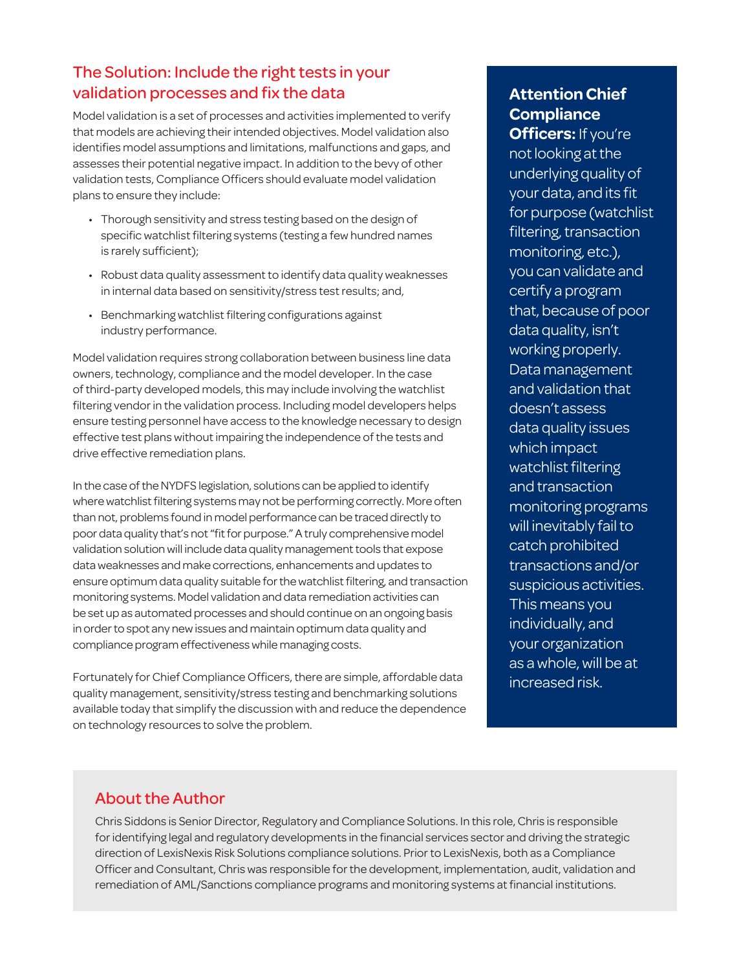# The Solution: Include the right tests in your validation processes and fix the data

Model validation is a set of processes and activities implemented to verify that models are achieving their intended objectives. Model validation also identifies model assumptions and limitations, malfunctions and gaps, and assesses their potential negative impact. In addition to the bevy of other validation tests, Compliance Officers should evaluate model validation plans to ensure they include:

- Thorough sensitivity and stress testing based on the design of specific watchlist filtering systems (testing a few hundred names is rarely sufficient);
- Robust data quality assessment to identify data quality weaknesses in internal data based on sensitivity/stress test results; and,
- Benchmarking watchlist filtering configurations against industry performance.

Model validation requires strong collaboration between business line data owners, technology, compliance and the model developer. In the case of third-party developed models, this may include involving the watchlist filtering vendor in the validation process. Including model developers helps ensure testing personnel have access to the knowledge necessary to design effective test plans without impairing the independence of the tests and drive effective remediation plans.

In the case of the NYDFS legislation, solutions can be applied to identify where watchlist filtering systems may not be performing correctly. More often than not, problems found in model performance can be traced directly to poor data quality that's not "fit for purpose." A truly comprehensive model validation solution will include data quality management tools that expose data weaknesses and make corrections, enhancements and updates to ensure optimum data quality suitable for the watchlist filtering, and transaction monitoring systems. Model validation and data remediation activities can be set up as automated processes and should continue on an ongoing basis in order to spot any new issues and maintain optimum data quality and compliance program effectiveness while managing costs.

Fortunately for Chief Compliance Officers, there are simple, affordable data quality management, sensitivity/stress testing and benchmarking solutions available today that simplify the discussion with and reduce the dependence on technology resources to solve the problem.

# **Attention Chief Compliance**

**Officers:** If you're not looking at the underlying quality of your data, and its fit for purpose (watchlist filtering, transaction monitoring, etc.), you can validate and certify a program that, because of poor data quality, isn't working properly. Data management and validation that doesn't assess data quality issues which impact watchlist filtering and transaction monitoring programs will inevitably fail to catch prohibited transactions and/or suspicious activities. This means you individually, and your organization as a whole, will be at increased risk.

#### About the Author

Chris Siddons is Senior Director, Regulatory and Compliance Solutions. In this role, Chris is responsible for identifying legal and regulatory developments in the financial services sector and driving the strategic direction of LexisNexis Risk Solutions compliance solutions. Prior to LexisNexis, both as a Compliance Officer and Consultant, Chris was responsible for the development, implementation, audit, validation and remediation of AML/Sanctions compliance programs and monitoring systems at financial institutions.